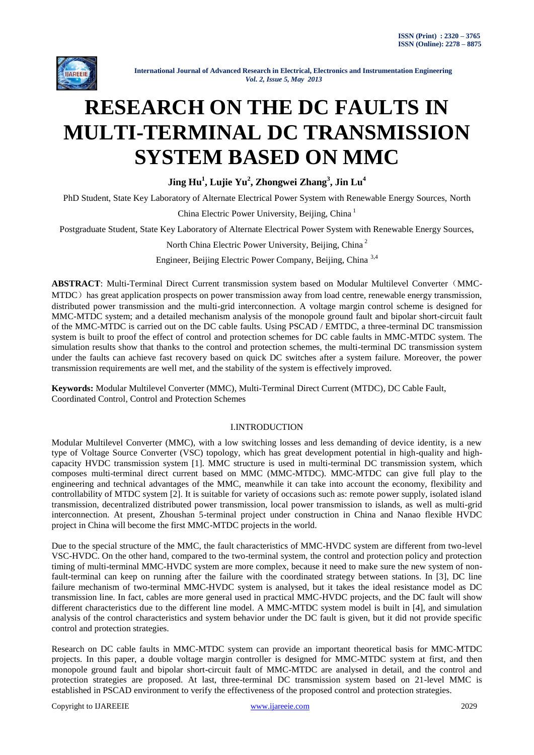

# **RESEARCH ON THE DC FAULTS IN MULTI-TERMINAL DC TRANSMISSION SYSTEM BASED ON MMC**

**Jing Hu<sup>1</sup> , Lujie Yu<sup>2</sup> , Zhongwei Zhang<sup>3</sup> , Jin Lu<sup>4</sup>**

PhD Student, State Key Laboratory of Alternate Electrical Power System with Renewable Energy Sources, North

China Electric Power University, Beijing, China<sup>1</sup>

Postgraduate Student, State Key Laboratory of Alternate Electrical Power System with Renewable Energy Sources,

North China Electric Power University, Beijing, China <sup>2</sup>

Engineer, Beijing Electric Power Company, Beijing, China 3,4

**ABSTRACT**: Multi-Terminal Direct Current transmission system based on Modular Multilevel Converter(MMC-MTDC) has great application prospects on power transmission away from load centre, renewable energy transmission, distributed power transmission and the multi-grid interconnection. A voltage margin control scheme is designed for MMC-MTDC system; and a detailed mechanism analysis of the monopole ground fault and bipolar short-circuit fault of the MMC-MTDC is carried out on the DC cable faults. Using PSCAD / EMTDC, a three-terminal DC transmission system is built to proof the effect of control and protection schemes for DC cable faults in MMC-MTDC system. The simulation results show that thanks to the control and protection schemes, the multi-terminal DC transmission system under the faults can achieve fast recovery based on quick DC switches after a system failure. Moreover, the power transmission requirements are well met, and the stability of the system is effectively improved.

**Keywords:** Modular Multilevel Converter (MMC), Multi-Terminal Direct Current (MTDC), DC Cable Fault, Coordinated Control, Control and Protection Schemes

# I.INTRODUCTION

Modular Multilevel Converter (MMC), with a low switching losses and less demanding of device identity, is a new type of Voltage Source Converter (VSC) topology, which has great development potential in high-quality and highcapacity HVDC transmission system [1]. MMC structure is used in multi-terminal DC transmission system, which composes multi-terminal direct current based on MMC (MMC-MTDC). MMC-MTDC can give full play to the engineering and technical advantages of the MMC, meanwhile it can take into account the economy, flexibility and controllability of MTDC system [2]. It is suitable for variety of occasions such as: remote power supply, isolated island transmission, decentralized distributed power transmission, local power transmission to islands, as well as multi-grid interconnection. At present, Zhoushan 5-terminal project under construction in China and Nanao flexible HVDC project in China will become the first MMC-MTDC projects in the world.

Due to the special structure of the MMC, the fault characteristics of MMC-HVDC system are different from two-level VSC-HVDC. On the other hand, compared to the two-terminal system, the control and protection policy and protection timing of multi-terminal MMC-HVDC system are more complex, because it need to make sure the new system of nonfault-terminal can keep on running after the failure with the coordinated strategy between stations. In [3], DC line failure mechanism of two-terminal MMC-HVDC system is analysed, but it takes the ideal resistance model as DC transmission line. In fact, cables are more general used in practical MMC-HVDC projects, and the DC fault will show different characteristics due to the different line model. A MMC-MTDC system model is built in [4], and simulation analysis of the control characteristics and system behavior under the DC fault is given, but it did not provide specific control and protection strategies.

Research on DC cable faults in MMC-MTDC system can provide an important theoretical basis for MMC-MTDC projects. In this paper, a double voltage margin controller is designed for MMC-MTDC system at first, and then monopole ground fault and bipolar short-circuit fault of MMC-MTDC are analysed in detail, and the control and protection strategies are proposed. At last, three-terminal DC transmission system based on 21-level MMC is established in PSCAD environment to verify the effectiveness of the proposed control and protection strategies.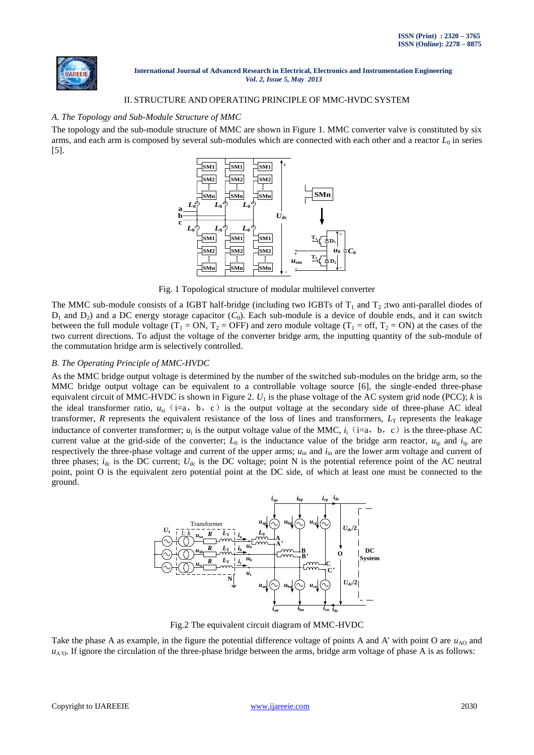

## II. STRUCTURE AND OPERATING PRINCIPLE OF MMC-HVDC SYSTEM

## *A. The Topology and Sub-Module Structure of MMC*

The topology and the sub-module structure of MMC are shown in Figure 1. MMC converter valve is constituted by six arms, and each arm is composed by several sub-modules which are connected with each other and a reactor  $L_0$  in series [5].



Fig. 1 Topological structure of modular multilevel converter

The MMC sub-module consists of a IGBT half-bridge (including two IGBTs of  $T_1$  and  $T_2$ ; two anti-parallel diodes of  $D_1$  and  $D_2$ ) and a DC energy storage capacitor  $(C_0)$ . Each sub-module is a device of double ends, and it can switch between the full module voltage ( $T_1 = ON$ ,  $T_2 = OFF$ ) and zero module voltage ( $T_1 = off$ ,  $T_2 = ON$ ) at the cases of the two current directions. To adjust the voltage of the converter bridge arm, the inputting quantity of the sub-module of the commutation bridge arm is selectively controlled.

## *B. The Operating Principle of MMC-HVDC*

As the MMC bridge output voltage is determined by the number of the switched sub-modules on the bridge arm, so the MMC bridge output voltage can be equivalent to a controllable voltage source [6], the single-ended three-phase equivalent circuit of MMC-HVDC is shown in Figure 2.  $U_1$  is the phase voltage of the AC system grid node (PCC);  $k$  is the ideal transformer ratio,  $u_{si}$  (i=a, b, c) is the output voltage at the secondary side of three-phase AC ideal transformer, *R* represents the equivalent resistance of the loss of lines and transformers,  $L_T$  represents the leakage inductance of converter transformer;  $u_i$  is the output voltage value of the MMC,  $i_i$  (i=a, b, c) is the three-phase AC current value at the grid-side of the converter;  $L_0$  is the inductance value of the bridge arm reactor,  $u_{\text{in}}$  and  $i_{\text{in}}$  are respectively the three-phase voltage and current of the upper arms; *u*in and *i*in are the lower arm voltage and current of three phases;  $i_{dc}$  is the DC current;  $U_{dc}$  is the DC voltage; point N is the potential reference point of the AC neutral point, point O is the equivalent zero potential point at the DC side, of which at least one must be connected to the ground.



Fig.2 The equivalent circuit diagram of MMC-HVDC

Take the phase A as example, in the figure the potential difference voltage of points A and A' with point O are  $u_{AO}$  and  $u_{A/O}$ . If ignore the circulation of the three-phase bridge between the arms, bridge arm voltage of phase A is as follows: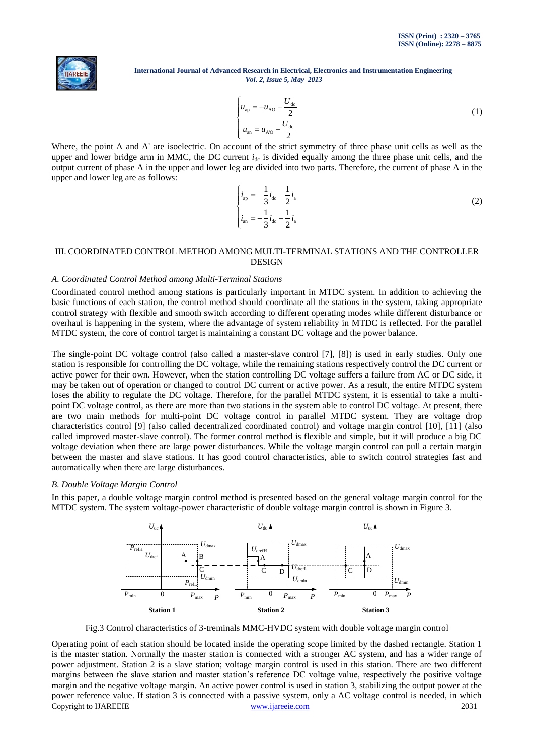

$$
\begin{cases}\n u_{\text{ap}} = -u_{\text{AO}} + \frac{U_{\text{dc}}}{2} \\
u_{\text{an}} = u_{\text{AO}} + \frac{U_{\text{dc}}}{2}\n\end{cases}
$$
\n(1)

Where, the point A and A' are isoelectric. On account of the strict symmetry of three phase unit cells as well as the upper and lower bridge arm in MMC, the DC current  $i_{dc}$  is divided equally among the three phase unit cells, and the output current of phase A in the upper and lower leg are divided into two parts. Therefore, the current of phase A in the upper and lower leg are as follows:

| $i_{\rm ap} = -\frac{1}{3}i_{\rm dc} - \frac{1}{2}i_{\rm a}$          |  |
|-----------------------------------------------------------------------|--|
| $i_{\text{an}} = -\frac{1}{3}i_{\text{dc}} + \frac{1}{2}i_{\text{a}}$ |  |

## III. COORDINATED CONTROL METHOD AMONG MULTI-TERMINAL STATIONS AND THE CONTROLLER DESIGN

## *A. Coordinated Control Method among Multi-Terminal Stations*

Coordinated control method among stations is particularly important in MTDC system. In addition to achieving the basic functions of each station, the control method should coordinate all the stations in the system, taking appropriate control strategy with flexible and smooth switch according to different operating modes while different disturbance or overhaul is happening in the system, where the advantage of system reliability in MTDC is reflected. For the parallel MTDC system, the core of control target is maintaining a constant DC voltage and the power balance.

The single-point DC voltage control (also called a master-slave control [7], [8]) is used in early studies. Only one station is responsible for controlling the DC voltage, while the remaining stations respectively control the DC current or active power for their own. However, when the station controlling DC voltage suffers a failure from AC or DC side, it may be taken out of operation or changed to control DC current or active power. As a result, the entire MTDC system loses the ability to regulate the DC voltage. Therefore, for the parallel MTDC system, it is essential to take a multipoint DC voltage control, as there are more than two stations in the system able to control DC voltage. At present, there are two main methods for multi-point DC voltage control in parallel MTDC system. They are voltage drop characteristics control [9] (also called decentralized coordinated control) and voltage margin control [10], [11] (also called improved master-slave control). The former control method is flexible and simple, but it will produce a big DC voltage deviation when there are large power disturbances. While the voltage margin control can pull a certain margin between the master and slave stations. It has good control characteristics, able to switch control strategies fast and automatically when there are large disturbances.

#### *B. Double Voltage Margin Control*

In this paper, a double voltage margin control method is presented based on the general voltage margin control for the MTDC system. The system voltage-power characteristic of double voltage margin control is shown in Figure 3.



Fig.3 Control characteristics of 3-treminals MMC-HVDC system with double voltage margin control

Copyright to IJAREEIE [www.ijareeie.com](http://www.ijareeie.com/) 2031 Operating point of each station should be located inside the operating scope limited by the dashed rectangle. Station 1 is the master station. Normally the master station is connected with a stronger AC system, and has a wider range of power adjustment. Station 2 is a slave station; voltage margin control is used in this station. There are two different margins between the slave station and master station's reference DC voltage value, respectively the positive voltage margin and the negative voltage margin. An active power control is used in station 3, stabilizing the output power at the power reference value. If station 3 is connected with a passive system, only a AC voltage control is needed, in which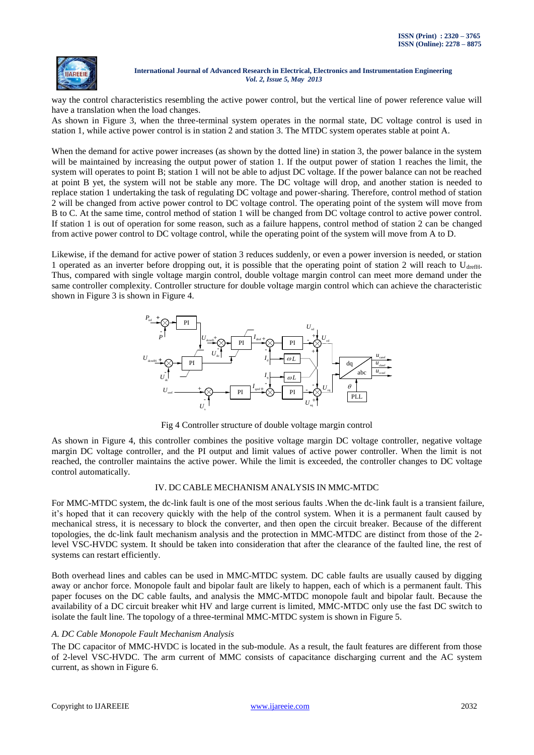

way the control characteristics resembling the active power control, but the vertical line of power reference value will have a translation when the load changes.

As shown in Figure 3, when the three-terminal system operates in the normal state, DC voltage control is used in station 1, while active power control is in station 2 and station 3. The MTDC system operates stable at point A.

When the demand for active power increases (as shown by the dotted line) in station 3, the power balance in the system will be maintained by increasing the output power of station 1. If the output power of station 1 reaches the limit, the system will operates to point B; station 1 will not be able to adjust DC voltage. If the power balance can not be reached at point B yet, the system will not be stable any more. The DC voltage will drop, and another station is needed to replace station 1 undertaking the task of regulating DC voltage and power-sharing. Therefore, control method of station 2 will be changed from active power control to DC voltage control. The operating point of the system will move from B to C. At the same time, control method of station 1 will be changed from DC voltage control to active power control. If station 1 is out of operation for some reason, such as a failure happens, control method of station 2 can be changed from active power control to DC voltage control, while the operating point of the system will move from A to D.

Likewise, if the demand for active power of station 3 reduces suddenly, or even a power inversion is needed, or station 1 operated as an inverter before dropping out, it is possible that the operating point of station 2 will reach to  $U_{\text{drefH}}$ . Thus, compared with single voltage margin control, double voltage margin control can meet more demand under the same controller complexity. Controller structure for double voltage margin control which can achieve the characteristic shown in Figure 3 is shown in Figure 4.



Fig 4 Controller structure of double voltage margin control

As shown in Figure 4, this controller combines the positive voltage margin DC voltage controller, negative voltage margin DC voltage controller, and the PI output and limit values of active power controller. When the limit is not reached, the controller maintains the active power. While the limit is exceeded, the controller changes to DC voltage control automatically.

## IV. DC CABLE MECHANISM ANALYSIS IN MMC-MTDC

For MMC-MTDC system, the dc-link fault is one of the most serious faults .When the dc-link fault is a transient failure, it's hoped that it can recovery quickly with the help of the control system. When it is a permanent fault caused by mechanical stress, it is necessary to block the converter, and then open the circuit breaker. Because of the different topologies, the dc-link fault mechanism analysis and the protection in MMC-MTDC are distinct from those of the 2 level VSC-HVDC system. It should be taken into consideration that after the clearance of the faulted line, the rest of systems can restart efficiently.

Both overhead lines and cables can be used in MMC-MTDC system. DC cable faults are usually caused by digging away or anchor force. Monopole fault and bipolar fault are likely to happen, each of which is a permanent fault. This paper focuses on the DC cable faults, and analysis the MMC-MTDC monopole fault and bipolar fault. Because the availability of a DC circuit breaker whit HV and large current is limited, MMC-MTDC only use the fast DC switch to isolate the fault line. The topology of a three-terminal MMC-MTDC system is shown in Figure 5.

# *A. DC Cable Monopole Fault Mechanism Analysis*

The DC capacitor of MMC-HVDC is located in the sub-module. As a result, the fault features are different from those of 2-level VSC-HVDC. The arm current of MMC consists of capacitance discharging current and the AC system current, as shown in Figure 6.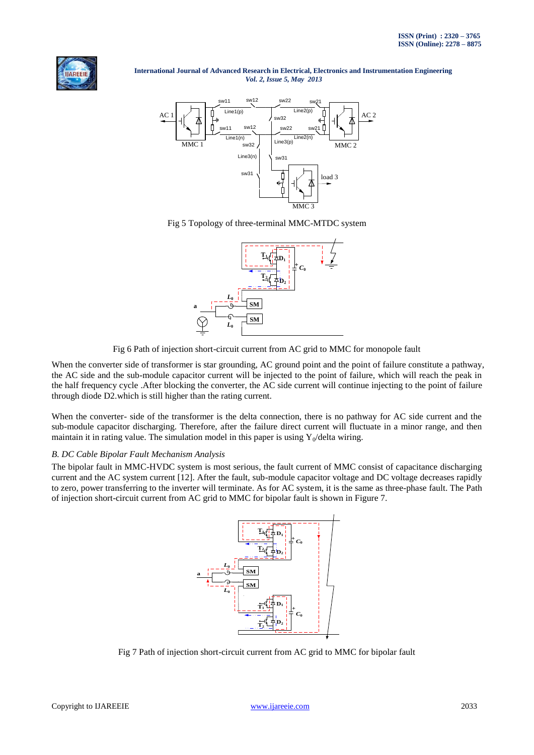



Fig 5 Topology of three-terminal MMC-MTDC system



Fig 6 Path of injection short-circuit current from AC grid to MMC for monopole fault

When the converter side of transformer is star grounding, AC ground point and the point of failure constitute a pathway, the AC side and the sub-module capacitor current will be injected to the point of failure, which will reach the peak in the half frequency cycle .After blocking the converter, the AC side current will continue injecting to the point of failure through diode D2.which is still higher than the rating current.

When the converter- side of the transformer is the delta connection, there is no pathway for AC side current and the sub-module capacitor discharging. Therefore, after the failure direct current will fluctuate in a minor range, and then maintain it in rating value. The simulation model in this paper is using  $Y_0/delta$  wiring.

## *B. DC Cable Bipolar Fault Mechanism Analysis*

The bipolar fault in MMC-HVDC system is most serious, the fault current of MMC consist of capacitance discharging current and the AC system current [12]. After the fault, sub-module capacitor voltage and DC voltage decreases rapidly to zero, power transferring to the inverter will terminate. As for AC system, it is the same as three-phase fault. The Path of injection short-circuit current from AC grid to MMC for bipolar fault is shown in Figure 7.



Fig 7 Path of injection short-circuit current from AC grid to MMC for bipolar fault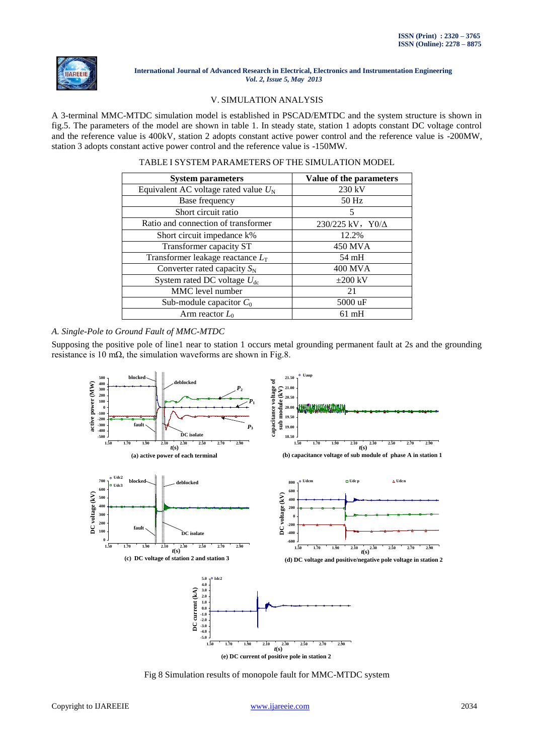

## V. SIMULATION ANALYSIS

A 3-terminal MMC-MTDC simulation model is established in PSCAD/EMTDC and the system structure is shown in fig.5. The parameters of the model are shown in table 1. In steady state, station 1 adopts constant DC voltage control and the reference value is 400kV, station 2 adopts constant active power control and the reference value is -200MW, station 3 adopts constant active power control and the reference value is -150MW.

| <b>System parameters</b>                | Value of the parameters   |
|-----------------------------------------|---------------------------|
| Equivalent AC voltage rated value $U_N$ | $230 \text{ kV}$          |
| Base frequency                          | 50 Hz                     |
| Short circuit ratio                     | 5                         |
| Ratio and connection of transformer     | $230/225$ kV, $Y0/\Delta$ |
| Short circuit impedance k%              | 12.2%                     |
| Transformer capacity ST                 | 450 MVA                   |
| Transformer leakage reactance $L_T$     | $54 \text{ mH}$           |
| Converter rated capacity $S_N$          | <b>400 MVA</b>            |
| System rated DC voltage $U_{dc}$        | $\pm 200$ kV              |
| MMC level number                        | 21                        |
| Sub-module capacitor $C_0$              | 5000 uF                   |
| Arm reactor $L_0$                       | $61 \text{ mH}$           |

*A. Single-Pole to Ground Fault of MMC-MTDC*

Supposing the positive pole of line1 near to station 1 occurs metal grounding permanent fault at 2s and the grounding resistance is 10 m $\Omega$ , the simulation waveforms are shown in Fig.8.



Fig 8 Simulation results of monopole fault for MMC-MTDC system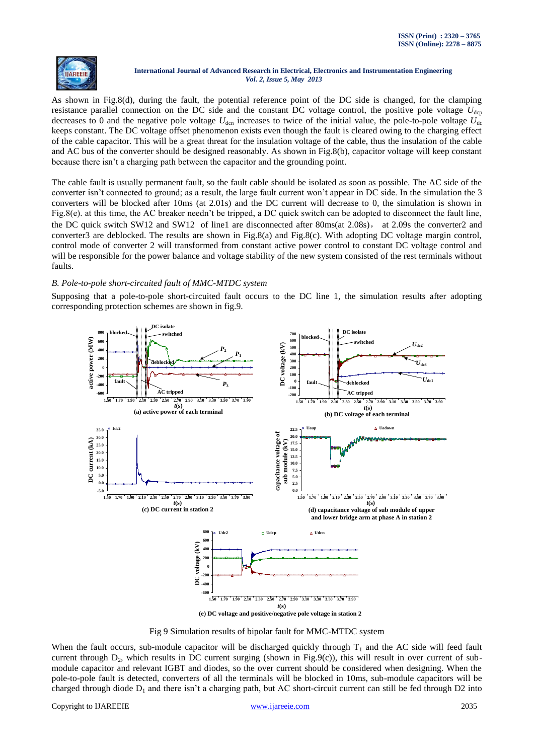

As shown in Fig.8(d), during the fault, the potential reference point of the DC side is changed, for the clamping resistance parallel connection on the DC side and the constant DC voltage control, the positive pole voltage  $U_{\text{den}}$ decreases to 0 and the negative pole voltage  $U_{\text{den}}$  increases to twice of the initial value, the pole-to-pole voltage  $U_{\text{de}}$ keeps constant. The DC voltage offset phenomenon exists even though the fault is cleared owing to the charging effect of the cable capacitor. This will be a great threat for the insulation voltage of the cable, thus the insulation of the cable and AC bus of the converter should be designed reasonably. As shown in Fig.8(b), capacitor voltage will keep constant because there isn't a charging path between the capacitor and the grounding point.

The cable fault is usually permanent fault, so the fault cable should be isolated as soon as possible. The AC side of the converter isn't connected to ground; as a result, the large fault current won't appear in DC side. In the simulation the 3 converters will be blocked after 10ms (at 2.01s) and the DC current will decrease to 0, the simulation is shown in Fig.8(e). at this time, the AC breaker needn't be tripped, a DC quick switch can be adopted to disconnect the fault line, the DC quick switch SW12 and SW12 of line1 are disconnected after 80ms(at 2.08s), at 2.09s the converter2 and converter3 are deblocked. The results are shown in Fig.8(a) and Fig.8(c). With adopting DC voltage margin control, control mode of converter 2 will transformed from constant active power control to constant DC voltage control and will be responsible for the power balance and voltage stability of the new system consisted of the rest terminals without faults.

# *B. Pole-to-pole short-circuited fault of MMC-MTDC system*

Supposing that a pole-to-pole short-circuited fault occurs to the DC line 1, the simulation results after adopting corresponding protection schemes are shown in fig.9.



Fig 9 Simulation results of bipolar fault for MMC-MTDC system

When the fault occurs, sub-module capacitor will be discharged quickly through  $T_1$  and the AC side will feed fault current through  $D_2$ , which results in DC current surging (shown in Fig.9(c)), this will result in over current of submodule capacitor and relevant IGBT and diodes, so the over current should be considered when designing. When the pole-to-pole fault is detected, converters of all the terminals will be blocked in 10ms, sub-module capacitors will be charged through diode  $D_1$  and there isn't a charging path, but AC short-circuit current can still be fed through D2 into